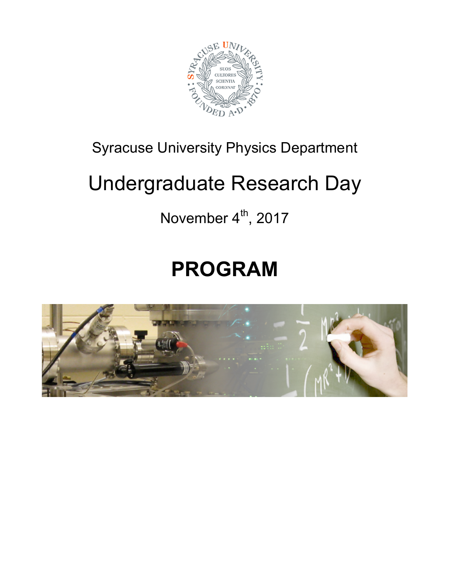

## Syracuse University Physics Department

# Undergraduate Research Day

## November  $4<sup>th</sup>$ , 2017

# **PROGRAM**

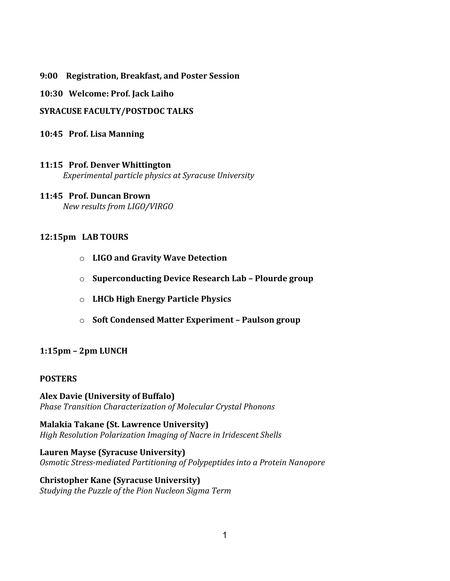**9:00 Registration, Breakfast, and Poster Session** 

**10:30 Welcome: Prof. Jack Laiho** 

**SYRACUSE FACULTY/POSTDOC TALKS** 

**10:45 Prof. Lisa Manning** 

### **11:15 Prof. Denver Whittington**

**Experimental particle physics at Syracuse University** 

### **11:45 Prof. Duncan Brown**

 $New$  results from LIGO/VIRGO

### **12:15pm LAB TOURS**

- o **LIGO/and/Gravity/Wave/Detection**
- o **Superconducting Device Research Lab Plourde group**
- o **LHCb/High/Energy/Particle/Physics/**
- o **Soft Condensed Matter Experiment Paulson group**

### **1:15pm - 2pm LUNCH**

#### **POSTERS**

**Alex Davie (University of Buffalo)** *Phase!Transition!Characterization!of!Molecular!Crystal!Phonons*

**Malakia Takane (St. Lawrence University)** *High Resolution Polarization Imaging of Nacre in Iridescent Shells* 

Lauren Mayse (Syracuse University) **Osmotic Stress-mediated Partitioning of Polypeptides into a Protein Nanopore** 

#### **Christopher Kane (Syracuse University) Studying the Puzzle of the Pion Nucleon Sigma Term**